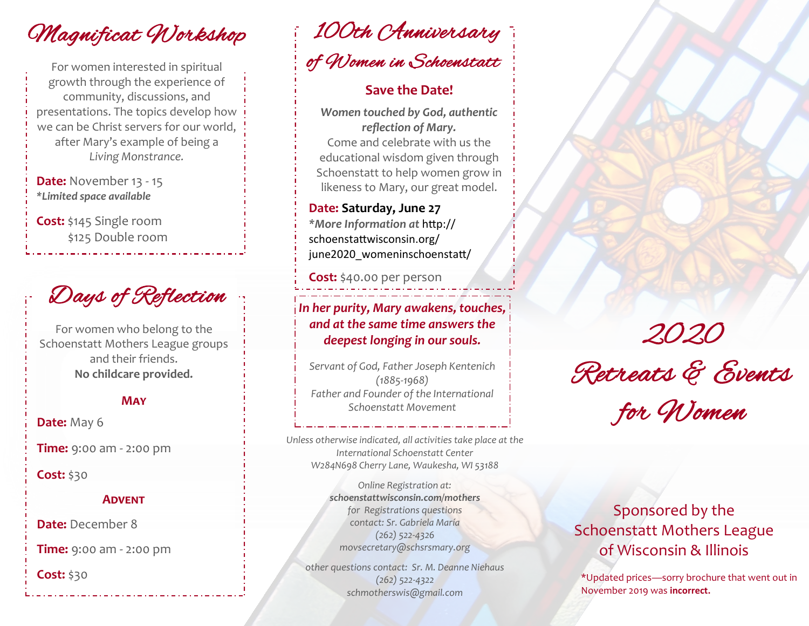Magnificat Workshop

For women interested in spiritual growth through the experience of community, discussions, and presentations. The topics develop how we can be Christ servers for our world, after Mary's example of being a *Living Monstrance.*

**Date:** November 13 - 15 *\*Limited space available*

**Cost:** \$145 Single room \$125 Double room

Days of Reflection

For women who belong to the Schoenstatt Mothers League groups and their friends. **No childcare provided.** 

#### **May**

**Date: May 6** 

**Time:** 9:00 am - 2:00 pm

**Cost:** \$30

#### **Advent**

**Date:** December 8

**Time:** 9:00 am - 2:00 pm

**Cost:** \$30

100th Anniversary of Women in Schoenstatt

### **Save the Date!**

*Women touched by God, authentic reflection of Mary.* Come and celebrate with us the educational wisdom given through Schoenstatt to help women grow in likeness to Mary, our great model.

**Date: Saturday, June 27** *\*More Information at* [http://](http://schoenstattwisconsin.org/june2020_womeninschoenstatt/) [schoenstattwisconsin.org/](http://schoenstattwisconsin.org/june2020_womeninschoenstatt/) [june2020\\_womeninschoenstatt/](http://schoenstattwisconsin.org/june2020_womeninschoenstatt/)

**Cost:** \$40.00 per person

## *In her purity, Mary awakens, touches, and at the same time answers the deepest longing in our souls.*

*Servant of God, Father Joseph Kentenich (1885-1968) Father and Founder of the International Schoenstatt Movement*

*Unless otherwise indicated, all activities take place at the International Schoenstatt Center W284N698 Cherry Lane, Waukesha, WI 53188*

> *Online Registration at: schoenstattwisconsin.com/mothers for Registrations questions contact: Sr. Gabriela María (262) 522-4326 movsecretary@schsrsmary.org*

*other questions contact: Sr. M. Deanne Niehaus (262) 522-4322 schmotherswis@gmail.com*

# 2020 Retreats & Events for Women

# Sponsored by the Schoenstatt Mothers League of Wisconsin & Illinois

\*Updated prices—sorry brochure that went out in November 2019 was **incorrect.**